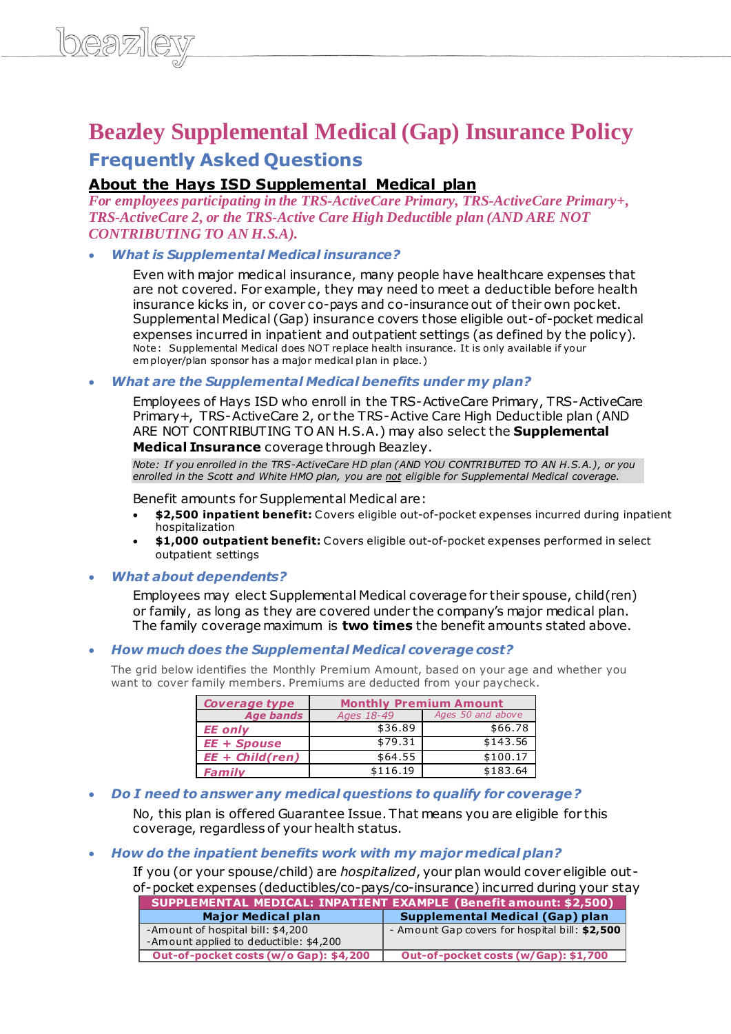# **Beazley Supplemental Medical (Gap) Insurance Policy**

## **Frequently Asked Questions**

## **About the Hays ISD Supplemental Medical plan**

*For employees participating in the TRS-ActiveCare Primary, TRS-ActiveCare Primary+, TRS-ActiveCare 2, or the TRS-Active Care High Deductible plan (AND ARE NOT CONTRIBUTING TO AN H.S.A).*

#### *What is Supplemental Medical insurance?*

Even with major medical insurance, many people have healthcare expenses that are not covered. For example, they may need to meet a deductible before health insurance kicks in, or cover co-pays and co-insurance out of their own pocket. Supplemental Medical (Gap) insurance covers those eligible out-of-pocket medical expenses incurred in inpatient and outpatient settings (as defined by the policy). Note: Supplemental Medical does NOT replace health insurance. It is only available if your em ployer/plan sponsor has a major medical plan in place.)

#### *What are the Supplemental Medical benefits under my plan?*

Employees of Hays ISD who enroll in the TRS-ActiveCare Primary, TRS-ActiveCare Primary+, TRS-ActiveCare 2, or the TRS-Active Care High Deductible plan (AND ARE NOT CONTRIBUTING TO AN H.S.A.) may also select the **Supplemental Medical Insurance** coverage through Beazley.

*Note: If you enrolled in the TRS-ActiveCare HD plan (AND YOU CONTRIBUTED TO AN H.S.A.), or you enrolled in the Scott and White HMO plan, you are not eligible for Supplemental Medical coverage.*

Benefit amounts for Supplemental Medical are:

- **\$2,500 inpatient benefit:** Covers eligible out-of-pocket expenses incurred during inpatient hospitalization
- **\$1,000 outpatient benefit:** Covers eligible out-of-pocket expenses performed in select outpatient settings

#### *What about dependents?*

Employees may elect Supplemental Medical coverage for their spouse, child(ren) or family, as long as they are covered under the company's major medical plan. The family coverage maximum is **two times** the benefit amounts stated above.

#### *How much does the Supplemental Medical coverage cost?*

The grid below identifies the Monthly Premium Amount, based on your age and whether you want to cover family members. Premiums are deducted from your paycheck.

| Coverage type      | <b>Monthly Premium Amount</b> |                   |
|--------------------|-------------------------------|-------------------|
| <b>Age bands</b>   | Ages 18-49                    | Ages 50 and above |
| <b>EE</b> only     | \$36.89                       | \$66.78           |
| <b>EE</b> + Spouse | \$79.31                       | \$143.56          |
| $EE + Child (ren)$ | \$64.55                       | \$100.17          |
| Family             | \$116.19                      | \$183.64          |

#### *Do I need to answer any medical questions to qualify for coverage?*

No, this plan is offered Guarantee Issue. That means you are eligible for this coverage, regardless of your health status.

#### *How do the inpatient benefits work with my major medical plan?*

If you (or your spouse/child) are *hospitalized*, your plan would cover eligible outof-pocket expenses (deductibles/co-pays/co-insurance) incurred during your stay

| <b>SUPPLEMENTAL MEDICAL: INPATIENT EXAMPLE (Benefit amount: \$2,500)</b> |                                                |  |
|--------------------------------------------------------------------------|------------------------------------------------|--|
| <b>Major Medical plan</b>                                                | <b>Supplemental Medical (Gap) plan</b>         |  |
| -Amount of hospital bill: \$4,200                                        | - Amount Gap covers for hospital bill: \$2,500 |  |
| -Amount applied to deductible: \$4,200                                   |                                                |  |
| Out-of-pocket costs (w/o Gap): \$4,200                                   | Out-of-pocket costs (w/Gap): \$1,700           |  |